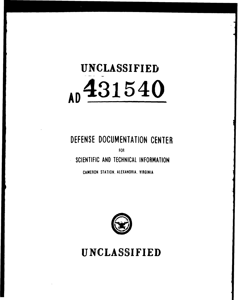# **UNCLASSIFIED AD** 431540

## DEFENSE DOCUMENTATION CENTER

FOR

**SCIENTIFIC AND TECHNICAL** INFORMATION

CAMERON STATION. ALEXANDRIA. VIRGINIA



**UNCLASSIFIED**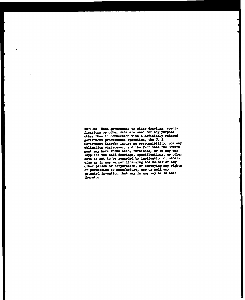NOTICE: When government or other drawings, specifications or other data are used for any purpose other than in connection rith **a** definitely related government procurement operation, the U. **S.** Government thereby incurs no responsibility, nor any obligation whatsoever; and the fact that the Government my have foriulated, **furnished,** or in *wa* **vay** supplied the **sadd** drawings, specifications, or other data **Is** not to be regarded **by** implication or othervise **as** in **any** anner licensing the boldr or **any** other person or corporation, or conveying any rigts or permission to manufacture, use or sell any patented invention that **my In** any vay be **related** thereto.

ž.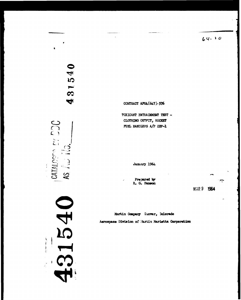$64 - 10$ 

CONTRACT APOL (647)-576

 $\ddot{\phantom{a}}$ 

TOXICANT ENTRAINMENT TEST -CLOTHING OUTFIT, ROCKET FUEL HANDLEPS A/P 22P-1

January 1964

Prepared by R. G. Hanson

MAR 9 1964

 $\overline{\phantom{a}}$ 

Martin Company Denver, Colorado Aerospace Division of Martin Marietta Corporation



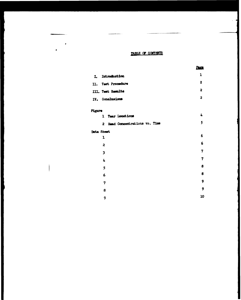#### TABLE OF CONTENTS

|     |                   | Pr<br>Υζ. |
|-----|-------------------|-----------|
| L   | Introduction      | 1         |
| п.  | Test Procedure    | 2         |
|     | III. Test Results | 2         |
| IV. | Conclusions       | 2         |

#### Pigure

 $\ddot{\phantom{0}}$ 

 $\mathbf{r}$ 

|                         | ٠          |                                                    |
|-------------------------|------------|----------------------------------------------------|
|                         |            | 5                                                  |
|                         |            |                                                    |
| 1                       |            | 6                                                  |
| $\overline{\mathbf{c}}$ |            | 6                                                  |
| 3                       |            | 7                                                  |
| 4                       |            | 7                                                  |
| 5                       |            | 8                                                  |
| 6                       |            | 8                                                  |
| 7                       |            | 9                                                  |
| 8                       |            | 9                                                  |
| 9                       |            | 10                                                 |
|                         | Data Sheet | 1 Tear Locations<br>2 Head Concentrations vo. Time |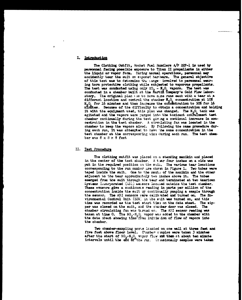#### I. Introduction

The Clothing Outfit, Rocket Fuel Handlers A/P 22P-1 is used by personnel facing possible exposure to Titan II propellants in either the liquid or vapor form. During normal operations, personnel may accidently tear the suit on exposed hardware. The general objective of this test was to determine the cange involved to personnel wearing torn protective clothing while subjected to vaporous propellants. The test was conducted using only  $HO_2 - H_2O_L$  vapors. The test was conducted in a chamber built at the fartifit company's Cold Flow Laboratory. The original plan the to have nine runs each with a tear at a different location and control the chamber  $M_0O_L$  concentration at 10%  $M_0O_L$  for 16 minutes and then increase the concentration to 50% for 16 minites. Because of the difficulty to obtain a concentration and holding it with the equipment used, this plan was changed. The N.O. tank was agitated and the vapors were purged into the toxicant entrainment test chamber continually during the test giving a continual increase in concentration in the test chamber. A circulating fan was located in the chamber to keep the vapors mixed. By following the same procedure during each run, it was attempted to have the same concentration in the test chamber at the corresponding time during each run. The test chamber was  $8 \times 3 \times 8$  feet

#### II. Test Procedure

The clothing outfit was placed on a standing manikin and placed in the center of the test chamber. A tear four inches on a side was put in the required position on the suit. The various tear locations corresponding to the run mumber are chown in Figure 1. Two tubes were taped inside the suit. One to the mouth of the manikin and the other adjacent to the tear approximately two inches above it. The tubes emerged from the suit through the tear and terminated at two American Systems Incorporated (ASI) sensors located outside the test chamber. These wensors give a continuous reading in parts per million of the concentration inside the suit by continually pumping a sample through the sensor. The ASI sensors were calibrated and turned on. The Environmental Control Unit (ECU) in the suit was turned on, and this time was recorded as the test start time on the data sheet. The sipper was closed on the suit, and the charber door was closed. The chamber circulating fan was turned on. The ASI sensor reading was taken at time  $0$ . The  $NO_2 = N_2O$ , vapor was added to the chamber with the data sheet showing time fies initiation of flow of vapors into the chamber.

Two chamber-sampling ports located on one wall at three feet and five feet above floor level. Chanter sumples were taken 3 minutes after the start of  $NO_2=H_2O_1$  vapor flow and then at about ten minute intervals until the end of the run. Or asionally samples were taken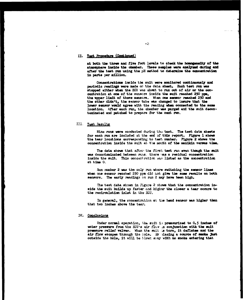#### II. Test Procedure (Continued)

at both the three and five foot levels to check the homogeneity of the atmosphere inside the chamber. These samples were analysed during and after the test run using the pH method to determine the concentration in parts per million.

Concentrations inside the suit were monitored continuously and periodic readings were made on the data sheet. Each test run was stopped either when the ECU was about to run out of air or the concentration at one of the sensors inside the suit reached 250 ppm. the upper limit of these sensors. When one sensor reached 250 and the other didn't, the sensor tube was changed to insure that the lower sensor would agree with the reading when connected to the same location. After each run, the chamber was purged and the suit decontaminated and patched to prepare for the next run.

#### III. Test Results

Nine runs were conducted during the test. The test data sheets for each run are included at the end of this report. Pigure 1 shows the tear locations corresponding to test number. Figure 2 shows the concentration inside the suit at the month of the manikin versus time.

The data shows that after the first test run even though the suit was decontaminated between runs. there as a residual concentration inside the suit. This concentration was listed as the concentration at time  $0$ ,

Run number 2 was the only run where switching the sensor lines when one sensor reached 250 ppm did not give the same results on both sensors. The early readings on run 2 may have been high.

The test data shown in Figure 2 shows that the concentration inside the suit builds up faster and higher the closer a tear occurs to the recirculation inlet in the ECU.

In general, the concentration at the head sensor was higher than that two inches above the tear.

#### IV. Conclusions

Under normal operation, the suit is pressurized to 0.5 inches of water pressure from the ECU's air flow in conjunction with the suit pressure relief valves. When the suit is torn, it deflates and the air flow escapes through the hole. By placing a source of smoke just outside the hole, it will be blown away with no smoke entering that

 $-2$ .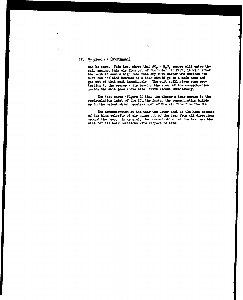#### IV. Conclusions (Continued)

can be seen. This test shows that  $BO_2 - NO_4$  vapors will enter the suit against this air flow out of the hole." "In fact, it will enter the suit at such a high rate that ary suit wearer who notices his suit has deflated because of a tear shmul go to **a safe** area and get out of that suit immediately. The suit still gives some protection to the wearer while leaving the area but the concentration inside the suit goes above safe limits almost immediately.

The test shows (Figure 2) that the *closer* a tear ocums to the recirculation inlet of the **ECI** the faster the concentration builds up in the helmet which reseives most of the air flow from the **ECU**.

The concentration at the tear was lower that at the head because of the high velocity of air going out of the tear from all directions around the tear. In general, the concentration at the tear was the same for all tear locations with respect to time.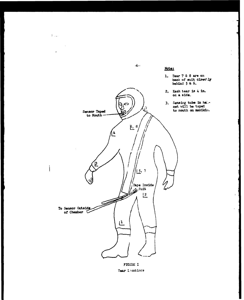

 $\sum_{i=1}^N \frac{1}{\sigma_i}$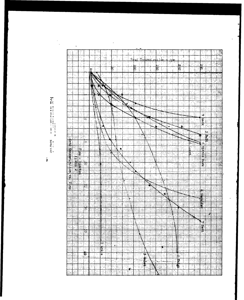í

| ij                        |               | ū                             |                      |                                       |                               |                             |    |                      |             |                   |                            |                    |                         |                                |                               |            |                                     |                                 |                |                                 |               |                              |               |                |        |        |
|---------------------------|---------------|-------------------------------|----------------------|---------------------------------------|-------------------------------|-----------------------------|----|----------------------|-------------|-------------------|----------------------------|--------------------|-------------------------|--------------------------------|-------------------------------|------------|-------------------------------------|---------------------------------|----------------|---------------------------------|---------------|------------------------------|---------------|----------------|--------|--------|
|                           |               |                               |                      |                                       |                               |                             |    |                      |             |                   |                            |                    |                         |                                |                               |            |                                     |                                 |                |                                 |               |                              |               |                |        |        |
| $\frac{1}{2}$             | 'N            |                               |                      |                                       |                               |                             |    |                      |             |                   |                            |                    |                         |                                |                               |            |                                     |                                 |                |                                 |               |                              |               |                |        |        |
|                           |               |                               |                      |                                       |                               |                             |    |                      |             |                   |                            |                    |                         |                                |                               |            |                                     |                                 |                |                                 |               |                              |               |                |        |        |
| 균                         |               |                               |                      |                                       |                               |                             |    |                      |             |                   |                            |                    |                         |                                |                               |            |                                     |                                 |                |                                 |               |                              |               |                |        |        |
| 屋                         |               |                               |                      |                                       |                               |                             |    |                      |             |                   |                            |                    |                         |                                |                               |            |                                     |                                 |                |                                 |               |                              |               |                |        |        |
| 뮴                         |               |                               |                      |                                       |                               |                             |    |                      |             |                   |                            |                    |                         |                                |                               |            |                                     |                                 |                |                                 |               |                              |               |                |        |        |
|                           |               |                               |                      |                                       |                               |                             |    |                      |             |                   |                            |                    |                         |                                |                               |            |                                     |                                 |                |                                 |               |                              |               |                |        |        |
|                           |               |                               |                      |                                       |                               |                             |    |                      |             |                   |                            |                    |                         |                                |                               |            |                                     |                                 |                |                                 |               |                              |               |                |        |        |
| خنسبا                     |               | $\cdots$                      | بيد                  |                                       |                               |                             |    |                      |             |                   |                            |                    |                         |                                |                               |            |                                     | de m                            |                |                                 |               |                              | $\ddagger$    |                |        |        |
|                           | HH            | ₩                             | 摽                    |                                       | FREE                          | $\mathbb{I}$<br>$\Xi_{\pm}$ | E  | - - - - <b>-</b> - - | ET H        | anga<br>Sepa      |                            | ESIE               | a ann anglich an        | ======<br>=======              |                               | insi<br>.  |                                     |                                 |                |                                 |               | $\sim$ $\sim$ $\sim$         | $\cdots$      |                |        |        |
| E<br>$\sim$ $\sim$ $\sim$ | H,<br>÷---    |                               | ananan<br>Anggota    | سمد                                   | सार<br>$\sim$ $\sim$ $\sim$   | F                           |    | 11 - 1               | en e        | ---               |                            | .                  | لصاف                    |                                | na sa pasa<br>sa dagaman<br>. |            | entro.<br>Jedno                     | <b>EXECUTE</b>                  | en po          |                                 |               | $\equiv$                     | ومحمد         |                |        |        |
| E                         | Ë             | m                             | Ξ,<br>tη             | 511                                   | ₽                             | F                           | F  |                      | EFE         | لمصمت             | $\cdots$                   |                    | <b>Time</b>             | ::::;<br>.                     | $\ddot{\phantom{1}}$          |            |                                     | سامست<br>Fili<br>$\mathbf{r}$ : |                | st po                           | ವರ<br><b></b> |                              | $\pm$         |                |        |        |
| دمت<br>E.                 | M             | $\sim$ $\sim$ $\sim$<br>وعبوب | È.                   | <br>⊞                                 | .<br>ΞĪ                       | ÷.                          | ≡  |                      | Ī           |                   | 85167<br><del>864</del> 68 |                    | 丰庄                      | WH.                            |                               | ⊞          |                                     | 55                              |                |                                 |               |                              | 至             |                |        |        |
| EI L                      | 語             |                               | <b>HANGE</b>         | ∷≕<br>$\sim$ $\sim$ $\sim$<br>. Anno  | $-$                           | i berikan                   | ᡰ᠄ |                      | <u>sala</u> |                   | 33135                      | $\sim$<br>.        | ده ماه<br>$\sim$ $\sim$ | ---- <del>1</del> ---<br>motor | - - - -                       | والمسا     | $-$<br>i                            | 111                             |                | .                               |               | 201102<br>المتملدات          | ≤.            |                | $-$    |        |
| E                         | m             | 1.14<br>₩                     | 僵                    | $\sim$ $\sim$<br>$\sim$ $\sim$ $\sim$ | سندية والمعا                  | 睡                           |    | $\Xi$                | .           |                   | .                          |                    |                         |                                | EF                            |            |                                     |                                 |                | Ŧ                               |               |                              |               |                |        |        |
| E                         | W             |                               | <u>isi</u> i.        |                                       | <b>MEE</b>                    | læ:t<br>æ                   | W  |                      | FILE I      | EEEE              |                            |                    | EHE                     |                                | Ester<br>1940                 | . <b>.</b> | e Bibli                             | Bibe                            |                | ولمستعد                         |               |                              |               |                |        | ÷н.    |
| E                         | œ<br><br>عننغ |                               | $\frac{1}{\sqrt{2}}$ |                                       | ETH                           | $\frac{1}{K}$               |    | المستوفر مالدانه     |             | BS<br>. 1         | HH                         | معاديا<br>$\cdots$ | 霊                       |                                | em<br>1.                      |            | <b>THE</b>                          | E                               |                | $\sim 400$ m m $^{-1}$<br>منتلب |               | $+ + -$<br>المتداولة والداما | ---+          |                |        | --     |
| ETER                      |               | ‡∹ajE.                        |                      |                                       |                               | $\frac{1}{2}$               |    | स ।<br>म             | F           | सम्बद्धाः<br>अपिन |                            | ida                | wys <sub>i</sub>        | $\frac{d}{dx}$                 | ÷                             | min        |                                     |                                 |                |                                 |               | Ē                            |               |                |        |        |
| E                         | W             | Ŧ                             | ╬<br>in c            | $\sim$ $\sim$                         | $\mathfrak{t}_{\mathrm{max}}$ | <b>estas</b>                |    |                      | 243         | angan<br>Sulai    |                            |                    |                         |                                | Ξ                             | ж.         | $\frac{1}{\frac{1}{2}+\frac{1}{2}}$ | : strigott                      | E              |                                 |               | Hill                         |               | $\mathbb{R}^2$ | $\sim$ | وبماري |
| E                         | E             |                               | HI                   | .<br>$\ddotsc$                        | <b>i</b> - - -<br>₩           | EEEE                        |    |                      |             |                   |                            |                    |                         | <b>The Second</b>              |                               |            |                                     | <b>Report Follows</b>           |                |                                 |               | ntini<br>Subili              | ning<br>Milit |                |        |        |
| άiν.                      | m             |                               | man                  |                                       | E                             | ETH                         |    |                      |             |                   |                            |                    |                         | E                              | ⇉                             |            |                                     | ETHE                            | <b>MARITAN</b> |                                 |               | <b>Birthda</b>               | an ba         |                | ш.     |        |
| ∺∺                        |               |                               | EL HELE              | 88                                    |                               |                             |    |                      |             |                   |                            |                    |                         |                                |                               | 王          |                                     |                                 |                |                                 |               |                              |               |                |        |        |

 $\frac{1}{\sqrt{2}}$ 

 $\ddot{\phantom{1}}$ 

 $\ddot{\phantom{0}}$ 

 $\ddot{\phantom{0}}$ 

 $\cdot$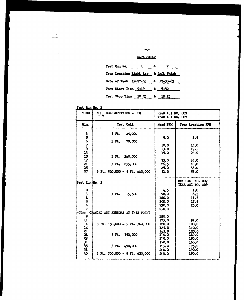$-6-$ 

 $\omega$  is  $\sim$ 

### DATA SHEET

 $\label{eq:3.1} \frac{1}{2} \int_{\mathbb{R}^3} \frac{1}{2} \, \mathrm{d} \theta \, \mathrm{d} \theta \, \mathrm{d} \theta \, \mathrm{d} \theta \, \mathrm{d} \theta \, \mathrm{d} \theta \, \mathrm{d} \theta \, \mathrm{d} \theta \, \mathrm{d} \theta \, \mathrm{d} \theta \, \mathrm{d} \theta \, \mathrm{d} \theta \, \mathrm{d} \theta \, \mathrm{d} \theta \, \mathrm{d} \theta \, \mathrm{d} \theta \, \mathrm{d} \theta \, \mathrm{d} \theta \, \mathrm{d} \theta \, \mathrm{d} \theta \, \mathrm{$ 

|  |                             | Test Run No. $\frac{1}{2}$ $\frac{4}{2}$ $\frac{2}{2}$ |
|--|-----------------------------|--------------------------------------------------------|
|  |                             | Tear Location Right Leg. & Left Thigh                  |
|  |                             | Date of Test 12-27-63 & 12-30-63                       |
|  | Test Start Time 9:19 & 9:32 |                                                        |
|  |                             | Test Stop Time 10:23 & 10:25                           |

Test Run No. 1

| TIME                                                                                                                              | $N_2O_L$ CONCENTRATION - PPM                                                                                                                                               | HEAD ASI NO. 009<br>TEAR ASI NO. 007                                                                                                                     |                                                                                                                                                                            |
|-----------------------------------------------------------------------------------------------------------------------------------|----------------------------------------------------------------------------------------------------------------------------------------------------------------------------|----------------------------------------------------------------------------------------------------------------------------------------------------------|----------------------------------------------------------------------------------------------------------------------------------------------------------------------------|
| Min.                                                                                                                              | Test Cell                                                                                                                                                                  | Head PPM                                                                                                                                                 | Tear Location PFM                                                                                                                                                          |
| 3<br>$5679$<br>$13$<br>15<br>17<br>21<br>25<br>37                                                                                 | $3rt$ .<br>25,000<br>70,000<br>3 Pt.<br>$3$ Pt. $240,000$<br>3 Ft. 255,000<br>$3 \text{ Ft}$ , $520,000 - 5 \text{ Ft}$ , $440,000$                                        | 5.0<br>10.0<br>13.0<br>19.0<br>25.0<br>26.5<br>29,0<br>31.0                                                                                              | 8,5<br>14.0<br>19.5<br>28.0<br>34.0<br>40.0<br>53.0<br>55.0                                                                                                                |
| Test Run No. 2<br>$\mathbf o$<br>3<br>4<br>$\frac{5}{6}$<br>7<br><b>NOTE:</b><br>9<br>11<br>$\mathbf{L}$<br>132133135<br>38<br>40 | 3F <sub>b</sub><br>15,500<br>CHANGED ASI SENSORS AT THIS FOINT<br>3 Ft. $150,000 - 5$ Ft. $300,000$<br>3 Ft. 350,000<br>3 Pt. 490,000<br>3 Ft. $700,000 - 5$ Ft. $620,000$ | 4.5<br>98.0<br>160.0<br>200.0<br>230.0<br>250.0<br>180.0<br>175.0<br>120.0<br>125.0<br>14.5.0<br><b>1΄Ό,0</b><br>1'0.0<br>190.0<br>195.0<br>20.0<br>20.0 | HEAD ASI NO. 007<br>TEAR ASI NO. 009<br>1.0<br>6.5<br>11.5<br>17.5<br>25.0<br>84.0<br>100.0<br><b>110.0</b><br>120.0<br>140.0<br>150.0<br>160.0<br>175.0<br>190.0<br>190.0 |

 $\frac{1}{\sqrt{2}}$  which is a property set of  $\mathcal{O}$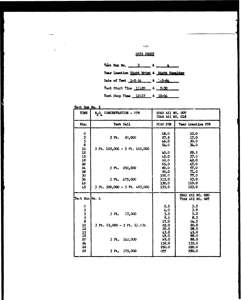$\alpha$  /= DATA SHEET

|  |  | Test Run No. $3 \t4 - 4$                   |
|--|--|--------------------------------------------|
|  |  | Tear Location Right Wrist & Right Shoulder |
|  |  | Date of Test $1 - 2 - 54$ & $-3 - 64$      |
|  |  | Test Start Time 11:20 & 9:30               |
|  |  | Test Stop Time 12:17 & 10:04               |

Test Run No. 3

 $\sim$   $\sim$ 

 $\overline{a}$ 

 $\overline{\phantom{a}}$ 

| TIME                                                                   | $N_2O_L$ CONCENTRATION - PPM                                                                                                                                   | HEAD ASI NO. 007<br>TEAR ASI NO. 018                                                                             |                                                                                                                |
|------------------------------------------------------------------------|----------------------------------------------------------------------------------------------------------------------------------------------------------------|------------------------------------------------------------------------------------------------------------------|----------------------------------------------------------------------------------------------------------------|
| Min.                                                                   | Test Cell                                                                                                                                                      | HEAD PPM                                                                                                         | Tear Location PPM                                                                                              |
| 0358<br>10<br>12<br>15<br>18<br>20<br>24<br>28<br>30<br>36<br>42<br>45 | 20,000<br>3 <sub>rt</sub><br>$3 \text{ Pt}$ , $105,000 - 5 \text{ Pt}$ , $105,000$<br>3 Pt. 250,000<br>3 Ft. 475,000<br>$3$ Ft. $520,000 - 5$ Ft. $\mu 85,000$ | 18.0<br>27.5<br>46.0<br>54.0<br>40.0<br>45.0<br>60.0<br>65.0<br>80.0<br>90.0<br>100.0<br>115.0<br>130.0<br>155.0 | 10.0<br>17.0<br>30.0<br>34.0<br>29.5<br>37.0<br>42.0<br>47.0<br>57.0<br>71.0<br>77.0<br>93.0<br>110.0<br>123.0 |
| Teat Run No. 4                                                         |                                                                                                                                                                |                                                                                                                  | HEAD ASI NO. 020<br>TEAR ASI NO. 007                                                                           |
| 02358102158<br>20<br>24<br>28<br>29                                    | 3F <sub>b</sub><br>17,000<br>3 Ft. $65,000 - 5$ Ft. $63,000$<br>$3$ Ft. $142,000$<br>175,000<br>3F <sub>b</sub>                                                | 2,5<br>4.0<br>5.5<br>9.5<br>17.0<br>22.0<br>29.5<br>43.0<br>49.0<br>69.0<br>132.0<br>250.0<br>oli                | 3.5<br>3.9<br>5.0<br>8,5<br>14.5<br>20.0<br>28.0<br>45.0<br>68.0<br>88.0<br>155.0<br>220.0<br>250.0            |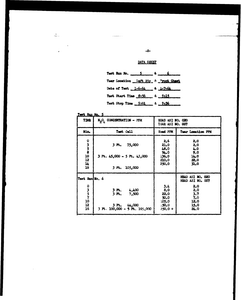DATA SHEET

 $-3-$ 

| Test Run No. $\frac{5}{2}$ & $\frac{1}{2}$ |  | $6 \qquad$ |
|--------------------------------------------|--|------------|
| Tear Location Laft Hip & Front Chast       |  |            |
| Date of Test 1-6-64 & 1-7-64               |  |            |
| Test Start Time 8:56 & 9:15                |  |            |
| Test Stop Time 9:01 & 9:36                 |  |            |

| Test Run No. 5 |  |  |
|----------------|--|--|
|                |  |  |

| TIME                                     | $\mathbb{N}_2\mathbb{O}_L$ CONCENTRATION - PFM                                          | HEAD ASI NO. 020<br>TEAR ASI NO. 007                     |                                                                                          |
|------------------------------------------|-----------------------------------------------------------------------------------------|----------------------------------------------------------|------------------------------------------------------------------------------------------|
| Min.                                     | Test Cell                                                                               | <b>Head PPM</b>                                          | Tear Location PPM                                                                        |
| 0358<br>10<br>12<br>14<br>16             | 75,000<br>3 Ft.<br>$3$ Ft. $45,000 - 5$ Ft. $43,000$<br>$3$ Ft. $105,000$               | 2,6<br>21.0<br>48.0<br>94.0<br>136.0<br>210.0<br>250.0   | 2.0<br>2,0<br>4.0<br>9.0<br>14.0<br>22.0<br>31.0                                         |
| Test Run No. 6<br>0357<br>10<br>12<br>16 | 4,400<br>3 Ft.<br>3 Ft.<br>7,500<br>$3$ Pt. $44,000$<br>$3$ Pt. 100,000 - 5 Pt. 105,000 | 3.4<br>8.0<br>22,0<br>50.0<br>105.0<br>.50.0<br>$250,0+$ | HEAD ASI NO. 020<br>HEAD ASI NO. 007<br>2.0<br>2,0<br>3.7<br>7.0<br>12.0<br>15.0<br>24.0 |

 $\frac{1}{2}$ 

 $\bar{\lambda}$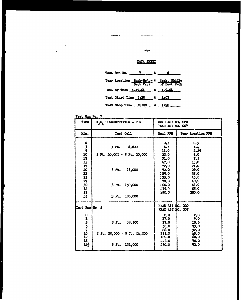DATA SHEET

|  |  | Test Run Bo. 7 2 $4 - 3$                |
|--|--|-----------------------------------------|
|  |  | Tear Location Back-Below & lack, Middle |
|  |  | Date of Test 1-19-64 & 1-9-64           |
|  |  | Test Start Time 9:25 & 1:03             |
|  |  | Test Stop Time 10:08 & 1:20             |

| Test Run No. 7 |  |
|----------------|--|

 $\ddot{\phantom{a}}$ 

 $\bullet$ 

| TIME                                                | $\texttt{N}_2\texttt{O}_\texttt{L}$ CONCENTRATION - PPM                                                                        | HEAD ASI NO. 020<br>TEAR ASI NO. 007                                                                             |                                                                                                           |
|-----------------------------------------------------|--------------------------------------------------------------------------------------------------------------------------------|------------------------------------------------------------------------------------------------------------------|-----------------------------------------------------------------------------------------------------------|
| Min.                                                | Test Cell                                                                                                                      | Head PPM                                                                                                         | <b>Tear Location PPM</b>                                                                                  |
| 0<br>3<br>5<br>10<br>121517202225273032<br>33<br>35 | 6,800<br>3 <sub>rt</sub><br>$3$ Pt. $20,000 - 5$ Pt. $20,000$<br>3 Pt.<br>73,000<br>3 <sub>r</sub><br>150,000<br>3 Pt. 186,000 | 0.5<br>6.5<br>11.0<br>23.0<br>31.0<br>47.0<br>72.0<br>92.0<br>105.0<br>135.0<br>170.0<br>200.0<br>235,0<br>250.0 | 0.5<br>2.4<br>2.25<br>6,0<br>7.5<br>13.0<br>21.0<br>29.0<br>35.0<br>46.0<br>48.0<br>61.0<br>85.0<br>250.0 |
| Test Run No. 8<br>0 1 3 5 7 10 12<br>15<br>16}      | 3F <sub>c</sub><br>33,500<br>$3$ Pt. $35,000 - 5$ Pt. $34,500$<br>131,000<br>3 Pt.                                             | HEAD ASINO. 020<br>HEAD ASI NO. 007<br>2, 0<br>17.0<br>37.0<br>50.0<br>86.0<br>135.0<br>180.0<br>25.0<br>250.0   | 2,0<br>9.0<br>15.5<br>23.0<br>32.0<br>45.0<br>60.0<br>78.0<br>92.0                                        |